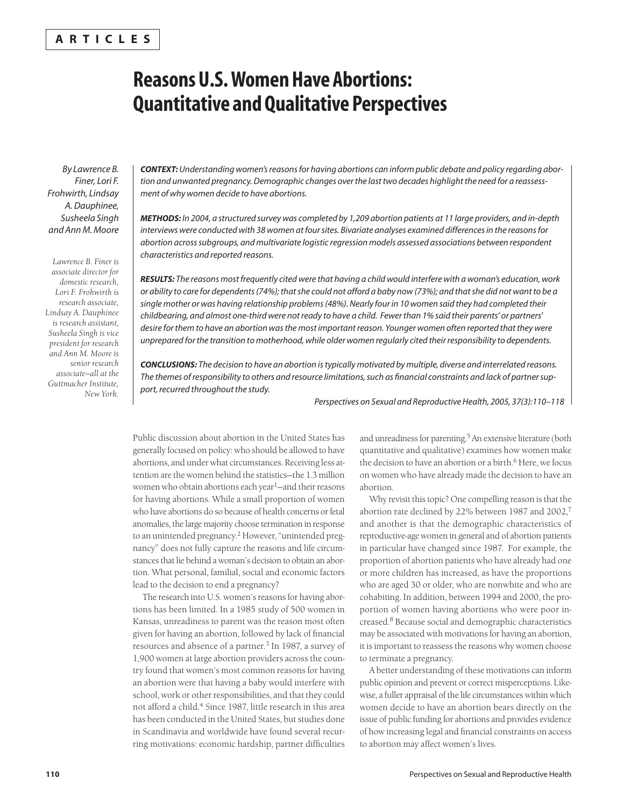## **ARTICLES**

# **Reasons U.S. Women Have Abortions: Quantitative and Qualitative Perspectives**

*By Lawrence B. Finer, Lori F. Frohwirth, Lindsay A. Dauphinee, Susheela Singh and Ann M. Moore*

*Lawrence B. Finer is associate director for domestic research, Lori F. Frohwirth is research associate, Lindsay A. Dauphinee is research assistant, Susheela Singh is vice president for research and Ann M. Moore is senior research associate—all at the Guttmacher Institute, New York.*

*CONTEXT:Understanding women's reasons for having abortions can inform public debate and policy regarding abortion and unwanted pregnancy. Demographic changes over the last two decades highlight the need for a reassessment of why women decide to have abortions.*

*METHODS: In 2004, a structured survey was completed by 1,209 abortion patients at 11 large providers, and in-depth interviews were conducted with 38 women at four sites. Bivariate analyses examined differences in the reasons for abortion across subgroups, and multivariate logistic regression models assessed associations between respondent characteristics and reported reasons.*

*RESULTS: The reasons most frequently cited were that having a child would interfere with a woman's education, work or ability to care for dependents (74%); that she could not afford a baby now (73%); and that she did not want to be a single mother or was having relationship problems (48%). Nearly four in 10 women said they had completed their childbearing, and almost one-third were not ready to have a child. Fewer than 1% said their parents' or partners' desire for them to have an abortion was the most important reason. Younger women often reported that they were unprepared for the transition to motherhood, while older women regularly cited their responsibility to dependents.*

*CONCLUSIONS: The decision to have an abortion is typically motivated by multiple, diverse and interrelated reasons. The themes of responsibility to others and resource limitations, such as financial constraints and lack of partner support, recurred throughout the study.*

*Perspectives on Sexual and Reproductive Health, 2005, 37(3):110–118*

Public discussion about abortion in the United States has generally focused on policy: who should be allowed to have abortions, and under what circumstances. Receiving less attention are the women behind the statistics—the 1.3 million women who obtain abortions each year<sup>1</sup>-and their reasons for having abortions. While a small proportion of women who have abortions do so because of health concerns or fetal anomalies, the large majority choose termination in response to an unintended pregnancy.<sup>2</sup> However, "unintended pregnancy" does not fully capture the reasons and life circumstances that lie behind a woman's decision to obtain an abortion. What personal, familial, social and economic factors lead to the decision to end a pregnancy?

The research into U.S. women's reasons for having abortions has been limited. In a 1985 study of 500 women in Kansas, unreadiness to parent was the reason most often given for having an abortion, followed by lack of financial resources and absence of a partner.<sup>3</sup> In 1987, a survey of 1,900 women at large abortion providers across the country found that women's most common reasons for having an abortion were that having a baby would interfere with school, work or other responsibilities, and that they could not afford a child.<sup>4</sup> Since 1987, little research in this area has been conducted in the United States, but studies done in Scandinavia and worldwide have found several recurring motivations: economic hardship, partner difficulties and unreadiness for parenting.<sup>5</sup> An extensive literature (both quantitative and qualitative) examines how women make the decision to have an abortion or a birth.<sup>6</sup> Here, we focus on women who have already made the decision to have an abortion.

Why revisit this topic? One compelling reason is that the abortion rate declined by 22% between 1987 and 2002,<sup>7</sup> and another is that the demographic characteristics of reproductive-age women in general and of abortion patients in particular have changed since 1987. For example, the proportion of abortion patients who have already had one or more children has increased, as have the proportions who are aged 30 or older, who are nonwhite and who are cohabiting. In addition, between 1994 and 2000, the proportion of women having abortions who were poor increased.<sup>8</sup> Because social and demographic characteristics may be associated with motivations for having an abortion, it is important to reassess the reasons why women choose to terminate a pregnancy.

A better understanding of these motivations can inform public opinion and prevent or correct misperceptions. Likewise, a fuller appraisal of the life circumstances within which women decide to have an abortion bears directly on the issue of public funding for abortions and provides evidence of how increasing legal and financial constraints on access to abortion may affect women's lives.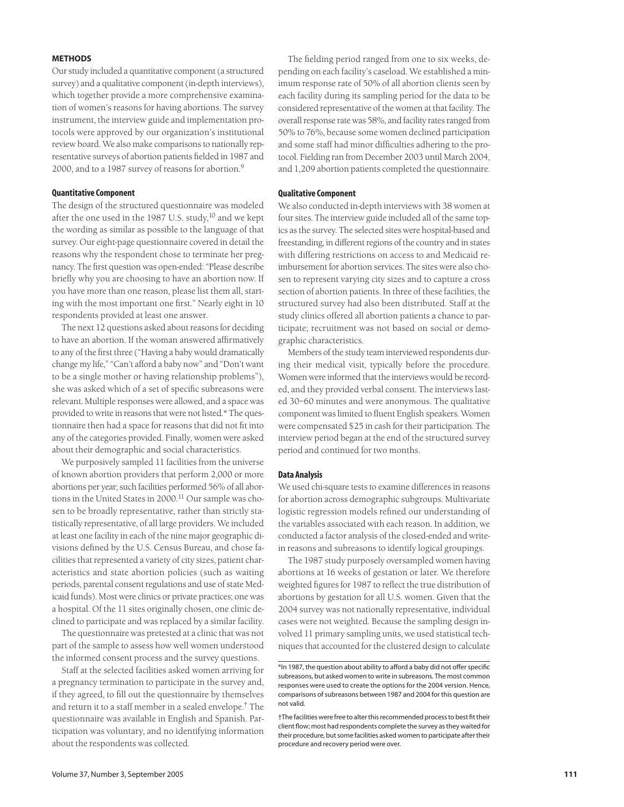## **METHODS**

Our study included a quantitative component (a structured survey) and a qualitative component (in-depth interviews), which together provide a more comprehensive examination of women's reasons for having abortions. The survey instrument, the interview guide and implementation protocols were approved by our organization's institutional review board. We also make comparisons to nationally representative surveys of abortion patients fielded in 1987 and 2000, and to a 1987 survey of reasons for abortion.9

#### **Quantitative Component**

The design of the structured questionnaire was modeled after the one used in the 1987 U.S. study,<sup>10</sup> and we kept the wording as similar as possible to the language of that survey. Our eight-page questionnaire covered in detail the reasons why the respondent chose to terminate her pregnancy. The first question was open-ended: "Please describe briefly why you are choosing to have an abortion now. If you have more than one reason, please list them all, starting with the most important one first." Nearly eight in 10 respondents provided at least one answer.

The next 12 questions asked about reasons for deciding to have an abortion. If the woman answered affirmatively to any of the first three ("Having a baby would dramatically change my life," "Can't afford a baby now" and "Don't want to be a single mother or having relationship problems"), she was asked which of a set of specific subreasons were relevant. Multiple responses were allowed, and a space was provided to write in reasons that were not listed.\* The questionnaire then had a space for reasons that did not fit into any of the categories provided. Finally, women were asked about their demographic and social characteristics.

We purposively sampled 11 facilities from the universe of known abortion providers that perform 2,000 or more abortions per year; such facilities performed 56% of all abortions in the United States in 2000.<sup>11</sup> Our sample was chosen to be broadly representative, rather than strictly statistically representative, of all large providers. We included at least one facility in each of the nine major geographic divisions defined by the U.S. Census Bureau, and chose facilities that represented a variety of city sizes, patient characteristics and state abortion policies (such as waiting periods, parental consent regulations and use of state Medicaid funds). Most were clinics or private practices; one was a hospital. Of the 11 sites originally chosen, one clinic declined to participate and was replaced by a similar facility.

The questionnaire was pretested at a clinic that was not part of the sample to assess how well women understood the informed consent process and the survey questions.

Staff at the selected facilities asked women arriving for a pregnancy termination to participate in the survey and, if they agreed, to fill out the questionnaire by themselves and return it to a staff member in a sealed envelope.† The questionnaire was available in English and Spanish. Participation was voluntary, and no identifying information about the respondents was collected.

The fielding period ranged from one to six weeks, depending on each facility's caseload. We established a minimum response rate of 50% of all abortion clients seen by each facility during its sampling period for the data to be considered representative of the women at that facility. The overall response rate was 58%, and facility rates ranged from 50% to 76%, because some women declined participation and some staff had minor difficulties adhering to the protocol. Fielding ran from December 2003 until March 2004, and 1,209 abortion patients completed the questionnaire.

## **Qualitative Component**

We also conducted in-depth interviews with 38 women at four sites. The interview guide included all of the same topics as the survey. The selected sites were hospital-based and freestanding, in different regions of the country and in states with differing restrictions on access to and Medicaid reimbursement for abortion services. The sites were also chosen to represent varying city sizes and to capture a cross section of abortion patients. In three of these facilities, the structured survey had also been distributed. Staff at the study clinics offered all abortion patients a chance to participate; recruitment was not based on social or demographic characteristics.

Members of the study team interviewed respondents during their medical visit, typically before the procedure. Women were informed that the interviews would be recorded, and they provided verbal consent. The interviews lasted 30–60 minutes and were anonymous. The qualitative component was limited to fluent English speakers. Women were compensated \$25 in cash for their participation. The interview period began at the end of the structured survey period and continued for two months.

## **Data Analysis**

We used chi-square tests to examine differences in reasons for abortion across demographic subgroups. Multivariate logistic regression models refined our understanding of the variables associated with each reason. In addition, we conducted a factor analysis of the closed-ended and writein reasons and subreasons to identify logical groupings.

The 1987 study purposely oversampled women having abortions at 16 weeks of gestation or later. We therefore weighted figures for 1987 to reflect the true distribution of abortions by gestation for all U.S. women. Given that the 2004 survey was not nationally representative, individual cases were not weighted. Because the sampling design involved 11 primary sampling units, we used statistical techniques that accounted for the clustered design to calculate

<sup>\*</sup>In 1987, the question about ability to afford a baby did not offer specific subreasons, but asked women to write in subreasons. The most common responses were used to create the options for the 2004 version. Hence, comparisons of subreasons between 1987 and 2004 for this question are not valid.

<sup>†</sup>The facilities were free to alter this recommended process to best fit their client flow; most had respondents complete the survey as they waited for their procedure, but some facilities asked women to participate after their procedure and recovery period were over.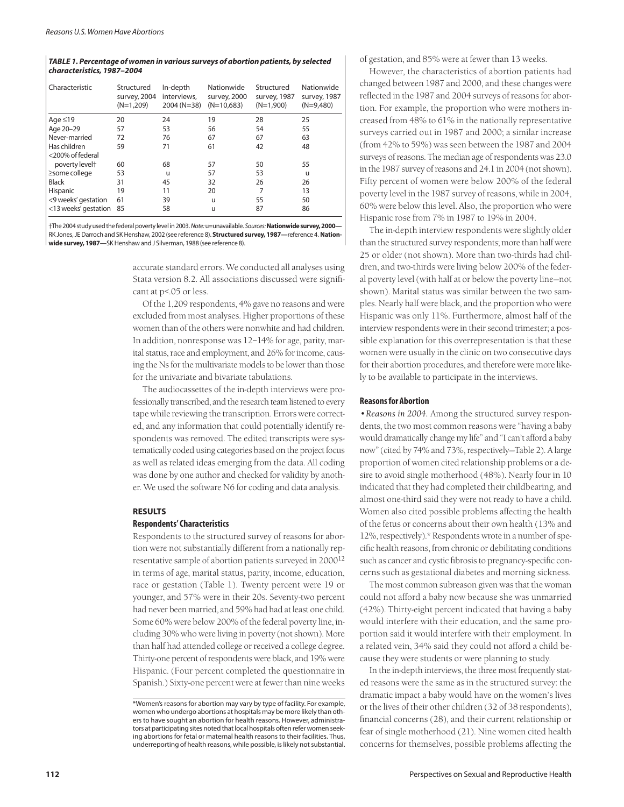## *TABLE 1. Percentage of women in various surveys of abortion patients, by selected characteristics, 1987–2004*

| Characteristic             | Structured<br>survey, 2004<br>$(N=1.209)$ | In-depth<br>interviews,<br>$2004(N=38)$ | Nationwide<br>survey, 2000<br>$(N=10.683)$ | Structured<br>survey, 1987<br>$(N=1.900)$ | Nationwide<br>survey, 1987<br>$(N=9.480)$ |
|----------------------------|-------------------------------------------|-----------------------------------------|--------------------------------------------|-------------------------------------------|-------------------------------------------|
| Age $\leq$ 19              | 20                                        | 24                                      | 19                                         | 28                                        | 25                                        |
| Age 20-29                  | 57                                        | 53                                      | 56                                         | 54                                        | 55                                        |
| Never-married              | 72                                        | 76                                      | 67                                         | 67                                        | 63                                        |
| Has children               | 59                                        | 71                                      | 61                                         | 42                                        | 48                                        |
| <200% of federal           |                                           |                                         |                                            |                                           |                                           |
| poverty level <sup>+</sup> | 60                                        | 68                                      | 57                                         | 50                                        | 55                                        |
| $\geq$ some college        | 53                                        | u                                       | 57                                         | 53                                        | u                                         |
| <b>Black</b>               | 31                                        | 45                                      | 32                                         | 26                                        | 26                                        |
| Hispanic                   | 19                                        | 11                                      | 20                                         | 7                                         | 13                                        |
| <9 weeks' gestation        | 61                                        | 39                                      | u                                          | 55                                        | 50                                        |
| <13 weeks' gestation 85    |                                           | 58                                      | u                                          | 87                                        | 86                                        |

†The 2004 study used the federal poverty level in 2003. *Note:*u=unavailable. *Sources:***Nationwide survey, 2000—** RK Jones, JE Darroch and SK Henshaw, 2002 (see reference 8). **Structured survey, 1987—**reference 4. **Nationwide survey, 1987—**SK Henshaw and J Silverman, 1988 (see reference 8).

> accurate standard errors. We conducted all analyses using Stata version 8.2. All associations discussed were significant at p<.05 or less.

> Of the 1,209 respondents, 4% gave no reasons and were excluded from most analyses. Higher proportions of these women than of the others were nonwhite and had children. In addition, nonresponse was 12–14% for age, parity, marital status, race and employment, and 26% for income, causing the Ns for the multivariate models to be lower than those for the univariate and bivariate tabulations.

> The audiocassettes of the in-depth interviews were professionally transcribed, and the research team listened to every tape while reviewing the transcription. Errors were corrected, and any information that could potentially identify respondents was removed. The edited transcripts were systematically coded using categories based on the project focus as well as related ideas emerging from the data. All coding was done by one author and checked for validity by another. We used the software N6 for coding and data analysis.

## **RESULTS**

## **Respondents' Characteristics**

Respondents to the structured survey of reasons for abortion were not substantially different from a nationally representative sample of abortion patients surveyed in 2000<sup>12</sup> in terms of age, marital status, parity, income, education, race or gestation (Table 1). Twenty percent were 19 or younger, and 57% were in their 20s. Seventy-two percent had never been married, and 59% had had at least one child. Some 60% were below 200% of the federal poverty line, including 30% who were living in poverty (not shown). More than half had attended college or received a college degree. Thirty-one percent of respondents were black, and 19% were Hispanic. (Four percent completed the questionnaire in Spanish.) Sixty-one percent were at fewer than nine weeks of gestation, and 85% were at fewer than 13 weeks.

However, the characteristics of abortion patients had changed between 1987 and 2000, and these changes were reflected in the 1987 and 2004 surveys of reasons for abortion. For example, the proportion who were mothers increased from 48% to 61% in the nationally representative surveys carried out in 1987 and 2000; a similar increase (from 42% to 59%) was seen between the 1987 and 2004 surveys of reasons. The median age of respondents was 23.0 in the 1987 survey of reasons and 24.1 in 2004 (not shown). Fifty percent of women were below 200% of the federal poverty level in the 1987 survey of reasons, while in 2004, 60% were below this level. Also, the proportion who were Hispanic rose from 7% in 1987 to 19% in 2004.

The in-depth interview respondents were slightly older than the structured survey respondents; more than half were 25 or older (not shown). More than two-thirds had children, and two-thirds were living below 200% of the federal poverty level (with half at or below the poverty line—not shown). Marital status was similar between the two samples. Nearly half were black, and the proportion who were Hispanic was only 11%. Furthermore, almost half of the interview respondents were in their second trimester; a possible explanation for this overrepresentation is that these women were usually in the clinic on two consecutive days for their abortion procedures, and therefore were more likely to be available to participate in the interviews.

#### **Reasons for Abortion**

*•Reasons in 2004.* Among the structured survey respondents, the two most common reasons were "having a baby would dramatically change my life" and "I can't afford a baby now" (cited by 74% and 73%, respectively—Table 2). A large proportion of women cited relationship problems or a desire to avoid single motherhood (48%). Nearly four in 10 indicated that they had completed their childbearing, and almost one-third said they were not ready to have a child. Women also cited possible problems affecting the health of the fetus or concerns about their own health (13% and 12%, respectively).\* Respondents wrote in a number of specific health reasons, from chronic or debilitating conditions such as cancer and cystic fibrosis to pregnancy-specific concerns such as gestational diabetes and morning sickness.

The most common subreason given was that the woman could not afford a baby now because she was unmarried (42%). Thirty-eight percent indicated that having a baby would interfere with their education, and the same proportion said it would interfere with their employment. In a related vein, 34% said they could not afford a child because they were students or were planning to study.

In the in-depth interviews, the three most frequently stated reasons were the same as in the structured survey: the dramatic impact a baby would have on the women's lives or the lives of their other children (32 of 38 respondents), financial concerns (28), and their current relationship or fear of single motherhood (21). Nine women cited health concerns for themselves, possible problems affecting the

<sup>\*</sup>Women's reasons for abortion may vary by type of facility. For example, women who undergo abortions at hospitals may be more likely than others to have sought an abortion for health reasons. However, administrators at participating sites noted that local hospitals often refer women seeking abortions for fetal or maternal health reasons to their facilities. Thus, underreporting of health reasons, while possible, is likely not substantial.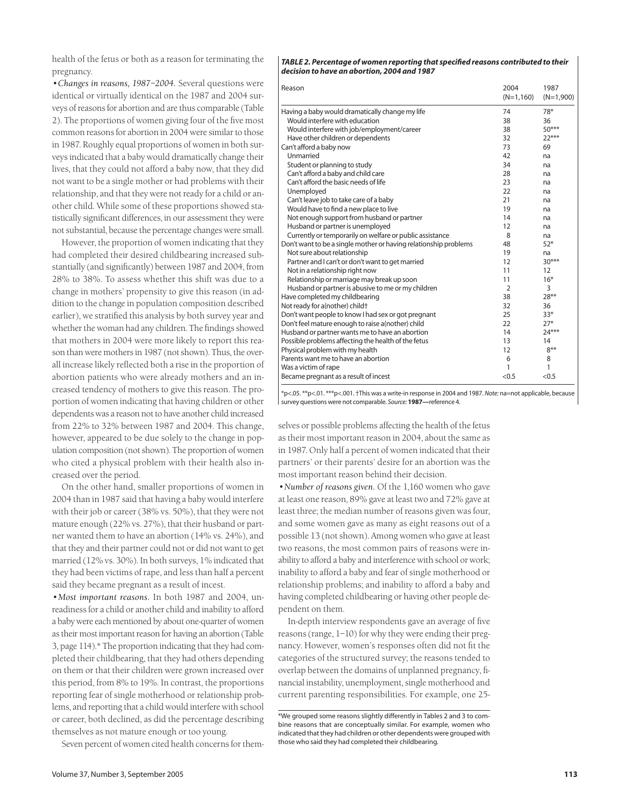health of the fetus or both as a reason for terminating the pregnancy.

*•Changes in reasons, 1987–2004.* Several questions were identical or virtually identical on the 1987 and 2004 surveys of reasons for abortion and are thus comparable (Table 2). The proportions of women giving four of the five most common reasons for abortion in 2004 were similar to those in 1987. Roughly equal proportions of women in both surveys indicated that a baby would dramatically change their lives, that they could not afford a baby now, that they did not want to be a single mother or had problems with their relationship, and that they were not ready for a child or another child. While some of these proportions showed statistically significant differences, in our assessment they were not substantial, because the percentage changes were small.

However, the proportion of women indicating that they had completed their desired childbearing increased substantially (and significantly) between 1987 and 2004, from 28% to 38%. To assess whether this shift was due to a change in mothers' propensity to give this reason (in addition to the change in population composition described earlier), we stratified this analysis by both survey year and whether the woman had any children. The findings showed that mothers in 2004 were more likely to report this reason than were mothers in 1987 (not shown). Thus, the overall increase likely reflected both a rise in the proportion of abortion patients who were already mothers and an increased tendency of mothers to give this reason. The proportion of women indicating that having children or other dependents was a reason not to have another child increased from 22% to 32% between 1987 and 2004. This change, however, appeared to be due solely to the change in population composition (not shown). The proportion of women who cited a physical problem with their health also increased over the period.

On the other hand, smaller proportions of women in 2004 than in 1987 said that having a baby would interfere with their job or career (38% vs. 50%), that they were not mature enough (22% vs. 27%), that their husband or partner wanted them to have an abortion (14% vs. 24%), and that they and their partner could not or did not want to get married (12% vs. 30%). In both surveys, 1% indicated that they had been victims of rape, and less than half a percent said they became pregnant as a result of incest.

*•Most important reasons.* In both 1987 and 2004, unreadiness for a child or another child and inability to afford a baby were each mentioned by about one-quarter of women as their most important reason for having an abortion (Table 3, page 114).\* The proportion indicating that they had completed their childbearing, that they had others depending on them or that their children were grown increased over this period, from 8% to 19%. In contrast, the proportions reporting fear of single motherhood or relationship problems, and reporting that a child would interfere with school or career, both declined, as did the percentage describing themselves as not mature enough or too young.

Seven percent of women cited health concerns for them-

#### *TABLE 2. Percentage of women reporting that specified reasons contributed to their decision to have an abortion, 2004 and 1987*

| Reason                                                           | 2004<br>$(N=1,160)$ | 1987<br>$(N=1,900)$ |
|------------------------------------------------------------------|---------------------|---------------------|
| Having a baby would dramatically change my life                  | 74                  | 78*                 |
| Would interfere with education                                   | 38                  | 36                  |
| Would interfere with job/employment/career                       | 38                  | $50***$             |
| Have other children or dependents                                | 32                  | $22***$             |
| Can't afford a baby now                                          | 73                  | 69                  |
| Unmarried                                                        | 42                  | na                  |
| Student or planning to study                                     | 34                  | na                  |
| Can't afford a baby and child care                               | 28                  | na                  |
| Can't afford the basic needs of life                             | 23                  | na                  |
| Unemployed                                                       | 22                  | na                  |
| Can't leave job to take care of a baby                           | 21                  | na                  |
| Would have to find a new place to live                           | 19                  | na                  |
| Not enough support from husband or partner                       | 14                  | na                  |
| Husband or partner is unemployed                                 | 12                  | na                  |
| Currently or temporarily on welfare or public assistance         | 8                   | na                  |
| Don't want to be a single mother or having relationship problems | 48                  | $52*$               |
| Not sure about relationship                                      | 19                  | na                  |
| Partner and I can't or don't want to get married                 | 12                  | $30***$             |
| Not in a relationship right now                                  | 11                  | 12                  |
| Relationship or marriage may break up soon                       | 11                  | $16*$               |
| Husband or partner is abusive to me or my children               | $\overline{2}$      | 3                   |
| Have completed my childbearing                                   | 38                  | $28**$              |
| Not ready for a(nother) child+                                   | 32                  | 36                  |
| Don't want people to know I had sex or got pregnant              | 25                  | $33*$               |
| Don't feel mature enough to raise a(nother) child                | 22                  | $27*$               |
| Husband or partner wants me to have an abortion                  | 14                  | $24***$             |
| Possible problems affecting the health of the fetus              | 13                  | 14                  |
| Physical problem with my health                                  | 12                  | $8***$              |
| Parents want me to have an abortion                              | 6                   | 8                   |
| Was a victim of rape                                             | 1                   | 1                   |
| Became pregnant as a result of incest                            | < 0.5               | < 0.5               |

\*p<.05. \*\*p<.01. \*\*\*p<.001. †This was a write-in response in 2004 and 1987. *Note:* na=not applicable, because survey questions were not comparable. *Source:* **1987—**reference 4.

selves or possible problems affecting the health of the fetus as their most important reason in 2004, about the same as in 1987. Only half a percent of women indicated that their partners' or their parents' desire for an abortion was the most important reason behind their decision.

*•Number of reasons given.* Of the 1,160 women who gave at least one reason, 89% gave at least two and 72% gave at least three; the median number of reasons given was four, and some women gave as many as eight reasons out of a possible 13 (not shown). Among women who gave at least two reasons, the most common pairs of reasons were inability to afford a baby and interference with school or work; inability to afford a baby and fear of single motherhood or relationship problems; and inability to afford a baby and having completed childbearing or having other people dependent on them.

In-depth interview respondents gave an average of five reasons (range, 1–10) for why they were ending their pregnancy. However, women's responses often did not fit the categories of the structured survey; the reasons tended to overlap between the domains of unplanned pregnancy, financial instability, unemployment, single motherhood and current parenting responsibilities. For example, one 25-

<sup>\*</sup>We grouped some reasons slightly differently in Tables 2 and 3 to combine reasons that are conceptually similar. For example, women who indicated that they had children or other dependents were grouped with those who said they had completed their childbearing.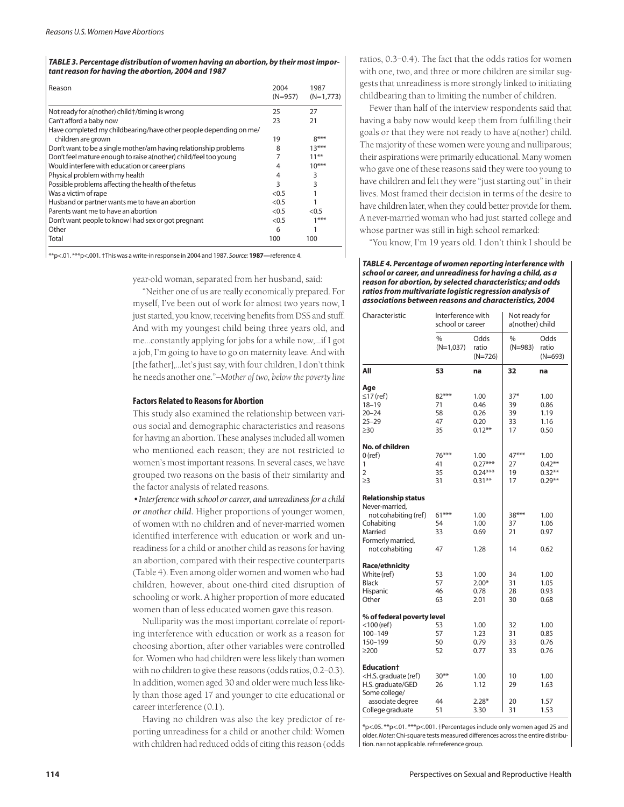| TABLE 3. Percentage distribution of women having an abortion, by their most impor- |
|------------------------------------------------------------------------------------|
| tant reason for having the abortion, 2004 and 1987                                 |

| Reason                                                            | 2004<br>$(N=957)$ | 1987<br>$(N=1,773)$ |
|-------------------------------------------------------------------|-------------------|---------------------|
| Not ready for a(nother) child+/timing is wrong                    | 25                | 27                  |
| Can't afford a baby now                                           | 23                | 21                  |
| Have completed my childbearing/have other people depending on me/ |                   |                     |
| children are grown                                                | 19                | $8***$              |
| Don't want to be a single mother/am having relationship problems  | 8                 | $13***$             |
| Don't feel mature enough to raise a(nother) child/feel too young  |                   | $11***$             |
| Would interfere with education or career plans                    | 4                 | $10***$             |
| Physical problem with my health                                   | 4                 | 3                   |
| Possible problems affecting the health of the fetus               | 3                 | 3                   |
| Was a victim of rape                                              | < 0.5             |                     |
| Husband or partner wants me to have an abortion                   | < 0.5             |                     |
| Parents want me to have an abortion                               | < 0.5             | < 0.5               |
| Don't want people to know I had sex or got pregnant               | < 0.5             | $1***$              |
| Other                                                             | 6                 |                     |
| Total                                                             | 100               | 100                 |

\*\*p<.01. \*\*\*p<.001. †This was a write-in response in 2004 and 1987. *Source:* **1987—**reference 4.

year-old woman, separated from her husband, said:

"Neither one of us are really economically prepared. For myself, I've been out of work for almost two years now, I just started, you know, receiving benefits from DSS and stuff. And with my youngest child being three years old, and me…constantly applying for jobs for a while now,…if I got a job, I'm going to have to go on maternity leave. And with [the father],…let's just say, with four children, I don't think he needs another one."*—Mother of two, below the poverty line*

## **Factors Related to Reasons for Abortion**

This study also examined the relationship between various social and demographic characteristics and reasons for having an abortion. These analyses included all women who mentioned each reason; they are not restricted to women's most important reasons. In several cases, we have grouped two reasons on the basis of their similarity and the factor analysis of related reasons.

*•Interference with school or career, and unreadiness for a child or another child.* Higher proportions of younger women, of women with no children and of never-married women identified interference with education or work and unreadiness for a child or another child as reasons for having an abortion, compared with their respective counterparts (Table 4). Even among older women and women who had children, however, about one-third cited disruption of schooling or work. A higher proportion of more educated women than of less educated women gave this reason.

Nulliparity was the most important correlate of reporting interference with education or work as a reason for choosing abortion, after other variables were controlled for. Women who had children were less likely than women with no children to give these reasons (odds ratios, 0.2–0.3). In addition, women aged 30 and older were much less likely than those aged 17 and younger to cite educational or career interference (0.1).

Having no children was also the key predictor of reporting unreadiness for a child or another child: Women with children had reduced odds of citing this reason (odds ratios, 0.3–0.4). The fact that the odds ratios for women with one, two, and three or more children are similar suggests that unreadiness is more strongly linked to initiating childbearing than to limiting the number of children.

Fewer than half of the interview respondents said that having a baby now would keep them from fulfilling their goals or that they were not ready to have a(nother) child. The majority of these women were young and nulliparous; their aspirations were primarily educational. Many women who gave one of these reasons said they were too young to have children and felt they were "just starting out" in their lives. Most framed their decision in terms of the desire to have children later, when they could better provide for them. A never-married woman who had just started college and whose partner was still in high school remarked:

"You know, I'm 19 years old. I don't think I should be

*TABLE 4. Percentage of women reporting interference with school or career, and unreadiness for having a child, as a reason for abortion, by selected characteristics; and odds ratios from multivariate logistic regression analysis of associations between reasons and characteristics, 2004*

| $\frac{0}{0}$<br>Odds<br>$\%$<br>Odds<br>$(N=1,037)$<br>ratio<br>$(N=983)$<br>ratio<br>$(N=726)$<br>$(N=693)$<br>All<br>53<br>32<br>na<br>na<br>Age<br>82***<br>$\leq$ 17 (ref)<br>$37*$<br>1.00<br>1.00<br>71<br>0.46<br>$18 - 19$<br>39<br>0.86<br>58<br>39<br>$20 - 24$<br>0.26<br>1.19<br>$25 - 29$<br>47<br>0.20<br>33<br>1.16<br>35<br>$0.12***$<br>17<br>$\geq$ 30<br>0.50<br>No. of children<br>76***<br>$47***$<br>$0$ (ref)<br>1.00<br>1.00<br>1<br>$0.27***$<br>41<br>$0.42***$<br>27<br>$\overline{2}$<br>35<br>$0.24***$<br>19<br>$0.32***$<br>$0.29***$<br>$\geq$ 3<br>31<br>$0.31**$<br>17<br><b>Relationship status</b><br>Never-married,<br>$61***$<br>not cohabiting (ref)<br>38***<br>1.00<br>1.00<br>54<br>1.00<br>1.06<br>Cohabiting<br>37<br>Married<br>33<br>0.69<br>21<br>0.97<br>Formerly married,<br>not cohabiting<br>47<br>1.28<br>14<br>0.62<br><b>Race/ethnicity</b><br>White (ref)<br>53<br>1.00<br>34<br>1.00<br><b>Black</b><br>57<br>31<br>1.05<br>$2.00*$<br>Hispanic<br>46<br>28<br>0.93<br>0.78<br>Other<br>63<br>2.01<br>30<br>0.68<br>% of federal poverty level<br>$<$ 100 $(ref)$<br>53<br>1.00<br>32<br>1.00<br>100-149<br>57<br>1.23<br>31<br>0.85<br>150-199<br>50<br>0.79<br>33<br>0.76<br>52<br>33<br>0.76<br>$\geq$ 200<br>0.77<br><b>Education</b> t<br>$30***$<br><h.s. (ref)<br="" graduate="">1.00<br/>10<br/>1.00<br/>H.S. graduate/GED<br/>26<br/>1.12<br/>29<br/>1.63<br/>Some college/<br/>associate degree<br/>44<br/><math>2.28*</math><br/>20<br/>1.57<br/>31<br/>College graduate<br/>51<br/>1.53<br/>3.30</h.s.> | Characteristic | Interference with<br>school or career |  | Not ready for<br>a(nother) child |  |  |  |  |
|------------------------------------------------------------------------------------------------------------------------------------------------------------------------------------------------------------------------------------------------------------------------------------------------------------------------------------------------------------------------------------------------------------------------------------------------------------------------------------------------------------------------------------------------------------------------------------------------------------------------------------------------------------------------------------------------------------------------------------------------------------------------------------------------------------------------------------------------------------------------------------------------------------------------------------------------------------------------------------------------------------------------------------------------------------------------------------------------------------------------------------------------------------------------------------------------------------------------------------------------------------------------------------------------------------------------------------------------------------------------------------------------------------------------------------------------------------------------------------------------------------------------------------------------------------------------------|----------------|---------------------------------------|--|----------------------------------|--|--|--|--|
|                                                                                                                                                                                                                                                                                                                                                                                                                                                                                                                                                                                                                                                                                                                                                                                                                                                                                                                                                                                                                                                                                                                                                                                                                                                                                                                                                                                                                                                                                                                                                                              |                |                                       |  |                                  |  |  |  |  |
|                                                                                                                                                                                                                                                                                                                                                                                                                                                                                                                                                                                                                                                                                                                                                                                                                                                                                                                                                                                                                                                                                                                                                                                                                                                                                                                                                                                                                                                                                                                                                                              |                |                                       |  |                                  |  |  |  |  |
|                                                                                                                                                                                                                                                                                                                                                                                                                                                                                                                                                                                                                                                                                                                                                                                                                                                                                                                                                                                                                                                                                                                                                                                                                                                                                                                                                                                                                                                                                                                                                                              |                |                                       |  |                                  |  |  |  |  |
|                                                                                                                                                                                                                                                                                                                                                                                                                                                                                                                                                                                                                                                                                                                                                                                                                                                                                                                                                                                                                                                                                                                                                                                                                                                                                                                                                                                                                                                                                                                                                                              |                |                                       |  |                                  |  |  |  |  |
|                                                                                                                                                                                                                                                                                                                                                                                                                                                                                                                                                                                                                                                                                                                                                                                                                                                                                                                                                                                                                                                                                                                                                                                                                                                                                                                                                                                                                                                                                                                                                                              |                |                                       |  |                                  |  |  |  |  |
|                                                                                                                                                                                                                                                                                                                                                                                                                                                                                                                                                                                                                                                                                                                                                                                                                                                                                                                                                                                                                                                                                                                                                                                                                                                                                                                                                                                                                                                                                                                                                                              |                |                                       |  |                                  |  |  |  |  |
|                                                                                                                                                                                                                                                                                                                                                                                                                                                                                                                                                                                                                                                                                                                                                                                                                                                                                                                                                                                                                                                                                                                                                                                                                                                                                                                                                                                                                                                                                                                                                                              |                |                                       |  |                                  |  |  |  |  |
|                                                                                                                                                                                                                                                                                                                                                                                                                                                                                                                                                                                                                                                                                                                                                                                                                                                                                                                                                                                                                                                                                                                                                                                                                                                                                                                                                                                                                                                                                                                                                                              |                |                                       |  |                                  |  |  |  |  |
|                                                                                                                                                                                                                                                                                                                                                                                                                                                                                                                                                                                                                                                                                                                                                                                                                                                                                                                                                                                                                                                                                                                                                                                                                                                                                                                                                                                                                                                                                                                                                                              |                |                                       |  |                                  |  |  |  |  |
|                                                                                                                                                                                                                                                                                                                                                                                                                                                                                                                                                                                                                                                                                                                                                                                                                                                                                                                                                                                                                                                                                                                                                                                                                                                                                                                                                                                                                                                                                                                                                                              |                |                                       |  |                                  |  |  |  |  |
|                                                                                                                                                                                                                                                                                                                                                                                                                                                                                                                                                                                                                                                                                                                                                                                                                                                                                                                                                                                                                                                                                                                                                                                                                                                                                                                                                                                                                                                                                                                                                                              |                |                                       |  |                                  |  |  |  |  |
|                                                                                                                                                                                                                                                                                                                                                                                                                                                                                                                                                                                                                                                                                                                                                                                                                                                                                                                                                                                                                                                                                                                                                                                                                                                                                                                                                                                                                                                                                                                                                                              |                |                                       |  |                                  |  |  |  |  |
|                                                                                                                                                                                                                                                                                                                                                                                                                                                                                                                                                                                                                                                                                                                                                                                                                                                                                                                                                                                                                                                                                                                                                                                                                                                                                                                                                                                                                                                                                                                                                                              |                |                                       |  |                                  |  |  |  |  |
|                                                                                                                                                                                                                                                                                                                                                                                                                                                                                                                                                                                                                                                                                                                                                                                                                                                                                                                                                                                                                                                                                                                                                                                                                                                                                                                                                                                                                                                                                                                                                                              |                |                                       |  |                                  |  |  |  |  |
|                                                                                                                                                                                                                                                                                                                                                                                                                                                                                                                                                                                                                                                                                                                                                                                                                                                                                                                                                                                                                                                                                                                                                                                                                                                                                                                                                                                                                                                                                                                                                                              |                |                                       |  |                                  |  |  |  |  |
|                                                                                                                                                                                                                                                                                                                                                                                                                                                                                                                                                                                                                                                                                                                                                                                                                                                                                                                                                                                                                                                                                                                                                                                                                                                                                                                                                                                                                                                                                                                                                                              |                |                                       |  |                                  |  |  |  |  |
|                                                                                                                                                                                                                                                                                                                                                                                                                                                                                                                                                                                                                                                                                                                                                                                                                                                                                                                                                                                                                                                                                                                                                                                                                                                                                                                                                                                                                                                                                                                                                                              |                |                                       |  |                                  |  |  |  |  |
|                                                                                                                                                                                                                                                                                                                                                                                                                                                                                                                                                                                                                                                                                                                                                                                                                                                                                                                                                                                                                                                                                                                                                                                                                                                                                                                                                                                                                                                                                                                                                                              |                |                                       |  |                                  |  |  |  |  |
|                                                                                                                                                                                                                                                                                                                                                                                                                                                                                                                                                                                                                                                                                                                                                                                                                                                                                                                                                                                                                                                                                                                                                                                                                                                                                                                                                                                                                                                                                                                                                                              |                |                                       |  |                                  |  |  |  |  |
|                                                                                                                                                                                                                                                                                                                                                                                                                                                                                                                                                                                                                                                                                                                                                                                                                                                                                                                                                                                                                                                                                                                                                                                                                                                                                                                                                                                                                                                                                                                                                                              |                |                                       |  |                                  |  |  |  |  |
|                                                                                                                                                                                                                                                                                                                                                                                                                                                                                                                                                                                                                                                                                                                                                                                                                                                                                                                                                                                                                                                                                                                                                                                                                                                                                                                                                                                                                                                                                                                                                                              |                |                                       |  |                                  |  |  |  |  |
|                                                                                                                                                                                                                                                                                                                                                                                                                                                                                                                                                                                                                                                                                                                                                                                                                                                                                                                                                                                                                                                                                                                                                                                                                                                                                                                                                                                                                                                                                                                                                                              |                |                                       |  |                                  |  |  |  |  |
|                                                                                                                                                                                                                                                                                                                                                                                                                                                                                                                                                                                                                                                                                                                                                                                                                                                                                                                                                                                                                                                                                                                                                                                                                                                                                                                                                                                                                                                                                                                                                                              |                |                                       |  |                                  |  |  |  |  |
|                                                                                                                                                                                                                                                                                                                                                                                                                                                                                                                                                                                                                                                                                                                                                                                                                                                                                                                                                                                                                                                                                                                                                                                                                                                                                                                                                                                                                                                                                                                                                                              |                |                                       |  |                                  |  |  |  |  |
|                                                                                                                                                                                                                                                                                                                                                                                                                                                                                                                                                                                                                                                                                                                                                                                                                                                                                                                                                                                                                                                                                                                                                                                                                                                                                                                                                                                                                                                                                                                                                                              |                |                                       |  |                                  |  |  |  |  |
|                                                                                                                                                                                                                                                                                                                                                                                                                                                                                                                                                                                                                                                                                                                                                                                                                                                                                                                                                                                                                                                                                                                                                                                                                                                                                                                                                                                                                                                                                                                                                                              |                |                                       |  |                                  |  |  |  |  |
|                                                                                                                                                                                                                                                                                                                                                                                                                                                                                                                                                                                                                                                                                                                                                                                                                                                                                                                                                                                                                                                                                                                                                                                                                                                                                                                                                                                                                                                                                                                                                                              |                |                                       |  |                                  |  |  |  |  |
|                                                                                                                                                                                                                                                                                                                                                                                                                                                                                                                                                                                                                                                                                                                                                                                                                                                                                                                                                                                                                                                                                                                                                                                                                                                                                                                                                                                                                                                                                                                                                                              |                |                                       |  |                                  |  |  |  |  |
|                                                                                                                                                                                                                                                                                                                                                                                                                                                                                                                                                                                                                                                                                                                                                                                                                                                                                                                                                                                                                                                                                                                                                                                                                                                                                                                                                                                                                                                                                                                                                                              |                |                                       |  |                                  |  |  |  |  |
|                                                                                                                                                                                                                                                                                                                                                                                                                                                                                                                                                                                                                                                                                                                                                                                                                                                                                                                                                                                                                                                                                                                                                                                                                                                                                                                                                                                                                                                                                                                                                                              |                |                                       |  |                                  |  |  |  |  |
|                                                                                                                                                                                                                                                                                                                                                                                                                                                                                                                                                                                                                                                                                                                                                                                                                                                                                                                                                                                                                                                                                                                                                                                                                                                                                                                                                                                                                                                                                                                                                                              |                |                                       |  |                                  |  |  |  |  |
|                                                                                                                                                                                                                                                                                                                                                                                                                                                                                                                                                                                                                                                                                                                                                                                                                                                                                                                                                                                                                                                                                                                                                                                                                                                                                                                                                                                                                                                                                                                                                                              |                |                                       |  |                                  |  |  |  |  |
|                                                                                                                                                                                                                                                                                                                                                                                                                                                                                                                                                                                                                                                                                                                                                                                                                                                                                                                                                                                                                                                                                                                                                                                                                                                                                                                                                                                                                                                                                                                                                                              |                |                                       |  |                                  |  |  |  |  |
|                                                                                                                                                                                                                                                                                                                                                                                                                                                                                                                                                                                                                                                                                                                                                                                                                                                                                                                                                                                                                                                                                                                                                                                                                                                                                                                                                                                                                                                                                                                                                                              |                |                                       |  |                                  |  |  |  |  |
|                                                                                                                                                                                                                                                                                                                                                                                                                                                                                                                                                                                                                                                                                                                                                                                                                                                                                                                                                                                                                                                                                                                                                                                                                                                                                                                                                                                                                                                                                                                                                                              |                |                                       |  |                                  |  |  |  |  |
|                                                                                                                                                                                                                                                                                                                                                                                                                                                                                                                                                                                                                                                                                                                                                                                                                                                                                                                                                                                                                                                                                                                                                                                                                                                                                                                                                                                                                                                                                                                                                                              |                |                                       |  |                                  |  |  |  |  |
|                                                                                                                                                                                                                                                                                                                                                                                                                                                                                                                                                                                                                                                                                                                                                                                                                                                                                                                                                                                                                                                                                                                                                                                                                                                                                                                                                                                                                                                                                                                                                                              |                |                                       |  |                                  |  |  |  |  |
|                                                                                                                                                                                                                                                                                                                                                                                                                                                                                                                                                                                                                                                                                                                                                                                                                                                                                                                                                                                                                                                                                                                                                                                                                                                                                                                                                                                                                                                                                                                                                                              |                |                                       |  |                                  |  |  |  |  |

\*p<.05. \*\*p<.01. \*\*\*p<.001. †Percentages include only women aged 25 and older. *Notes:* Chi-square tests measured differences across the entire distribution. na=not applicable. ref=reference group.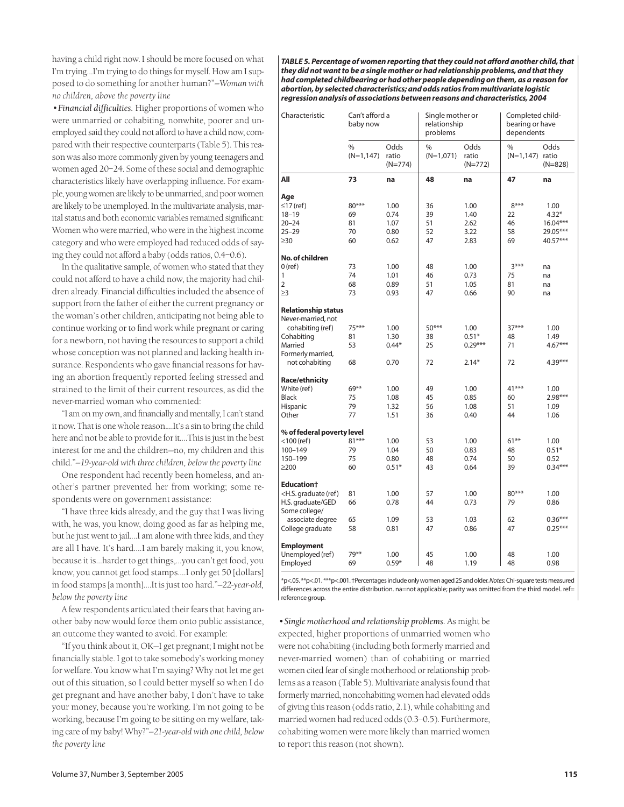having a child right now. I should be more focused on what I'm trying…I'm trying to do things for myself. How am I supposed to do something for another human?"*—Woman with no children, above the poverty line*

*•Financial difficulties.* Higher proportions of women who were unmarried or cohabiting, nonwhite, poorer and unemployed said they could not afford to have a child now, compared with their respective counterparts (Table 5). This reason was also more commonly given by young teenagers and women aged 20–24. Some of these social and demographic characteristics likely have overlapping influence. For example, young women are likely to be unmarried, and poor women are likely to be unemployed. In the multivariate analysis, marital status and both economic variables remained significant: Women who were married, who were in the highest income category and who were employed had reduced odds of saying they could not afford a baby (odds ratios, 0.4–0.6).

In the qualitative sample, of women who stated that they could not afford to have a child now, the majority had children already. Financial difficulties included the absence of support from the father of either the current pregnancy or the woman's other children, anticipating not being able to continue working or to find work while pregnant or caring for a newborn, not having the resources to support a child whose conception was not planned and lacking health insurance. Respondents who gave financial reasons for having an abortion frequently reported feeling stressed and strained to the limit of their current resources, as did the never-married woman who commented:

"I am on my own, and financially and mentally, I can't stand it now. That is one whole reason.…It's a sin to bring the child here and not be able to provide for it.…This is just in the best interest for me and the children—no, my children and this child."*—19-year-old with three children, below the poverty line*

One respondent had recently been homeless, and another's partner prevented her from working; some respondents were on government assistance:

"I have three kids already, and the guy that I was living with, he was, you know, doing good as far as helping me, but he just went to jail.…I am alone with three kids, and they are all I have. It's hard.…I am barely making it, you know, because it is…harder to get things,…you can't get food, you know, you cannot get food stamps….I only get 50 [dollars] in food stamps [a month].…It is just too hard."*—22-year-old, below the poverty line*

A few respondents articulated their fears that having another baby now would force them onto public assistance, an outcome they wanted to avoid. For example:

"If you think about it, OK—I get pregnant; I might not be financially stable. I got to take somebody's working money for welfare. You know what I'm saying? Why not let me get out of this situation, so I could better myself so when I do get pregnant and have another baby, I don't have to take your money, because you're working. I'm not going to be working, because I'm going to be sitting on my welfare, taking care of my baby! Why?"*—21-year-old with one child, below the poverty line*

*TABLE 5. Percentage of women reporting that they could not afford another child, that they did not want to be a single mother or had relationship problems, and that they had completed childbearing or had other people depending on them, as a reason for abortion, by selected characteristics; and odds ratios from multivariate logistic regression analysis of associations between reasons and characteristics, 2004*

| Characteristic                                                                                                       | Can't afford a<br>baby now |                    | Single mother or<br>relationship<br>problems |                    | Completed child-<br>bearing or have<br>dependents |           |
|----------------------------------------------------------------------------------------------------------------------|----------------------------|--------------------|----------------------------------------------|--------------------|---------------------------------------------------|-----------|
|                                                                                                                      | %                          | Odds               | %                                            | Odds               | $\%$                                              | Odds      |
|                                                                                                                      | $(N=1, 147)$               | ratio<br>$(N=774)$ | $(N=1,071)$                                  | ratio<br>$(N=772)$ | (N=1,147) ratio                                   | $(N=828)$ |
| All                                                                                                                  | 73                         | na                 | 48                                           | na                 | 47                                                | na        |
| Age                                                                                                                  |                            |                    |                                              |                    |                                                   |           |
| $\leq$ 17 (ref)                                                                                                      | 80***                      | 1.00               | 36                                           | 1.00               | $8***$                                            | 1.00      |
| $18 - 19$                                                                                                            | 69                         | 0.74               | 39                                           | 1.40               | 22                                                | $4.32*$   |
| $20 - 24$                                                                                                            | 81                         | 1.07               | 51                                           | 2.62               | 46                                                | 16.04***  |
| $25 - 29$                                                                                                            | 70                         | 0.80               | 52                                           | 3.22               | 58                                                | 29.05***  |
| $\geq 30$                                                                                                            | 60                         | 0.62               | 47                                           | 2.83               | 69                                                | 40.57***  |
| No. of children                                                                                                      |                            |                    |                                              |                    |                                                   |           |
| $0$ (ref)                                                                                                            | 73                         | 1.00               | 48                                           | 1.00               | $3***$                                            | na        |
| 1                                                                                                                    | 74                         | 1.01               | 46                                           | 0.73               | 75                                                | na        |
| 2                                                                                                                    | 68                         | 0.89               | 51                                           | 1.05               | 81                                                | na        |
| >3                                                                                                                   | 73                         | 0.93               | 47                                           | 0.66               | 90                                                | na        |
| <b>Relationship status</b><br>Never-married, not                                                                     |                            |                    |                                              |                    |                                                   |           |
| cohabiting (ref)                                                                                                     | 75***                      | 1.00               | $50***$                                      | 1.00               | $37***$                                           | 1.00      |
| Cohabiting                                                                                                           | 81                         | 1.30               | 38                                           | $0.51*$            | 48                                                | 1.49      |
| Married                                                                                                              | 53                         | $0.44*$            | 25                                           | $0.29***$          | 71                                                | $4.67***$ |
| Formerly married,                                                                                                    |                            |                    |                                              |                    |                                                   |           |
| not cohabiting                                                                                                       | 68                         | 0.70               | 72                                           | $2.14*$            | 72                                                | 4.39***   |
| <b>Race/ethnicity</b>                                                                                                |                            |                    |                                              |                    |                                                   |           |
| White (ref)                                                                                                          | 69**                       | 1.00               | 49                                           | 1.00               | $41***$                                           | 1.00      |
| <b>Black</b>                                                                                                         | 75                         | 1.08               | 45                                           | 0.85               | 60                                                | 2.98***   |
| Hispanic                                                                                                             | 79                         | 1.32               | 56                                           | 1.08               | 51                                                | 1.09      |
| Other                                                                                                                | 77                         | 1.51               | 36                                           | 0.40               | 44                                                | 1.06      |
| % of federal poverty level                                                                                           |                            |                    |                                              |                    |                                                   |           |
| $<$ 100 $(ref)$                                                                                                      | $81***$                    | 1.00               | 53                                           | 1.00               | $61***$                                           | 1.00      |
| $100 - 149$                                                                                                          | 79                         | 1.04               | 50                                           | 0.83               | 48                                                | $0.51*$   |
| 150-199                                                                                                              | 75                         | 0.80               | 48                                           | 0.74               | 50                                                | 0.52      |
| $\geq$ 200                                                                                                           | 60                         | $0.51*$            | 43                                           | 0.64               | 39                                                | $0.34***$ |
| <b>Education+</b>                                                                                                    |                            |                    |                                              |                    |                                                   |           |
| <h.s. (ref)<="" graduate="" td=""><td>81</td><td>1.00</td><td>57</td><td>1.00</td><td>80***</td><td>1.00</td></h.s.> | 81                         | 1.00               | 57                                           | 1.00               | 80***                                             | 1.00      |
| H.S. graduate/GED<br>Some college/                                                                                   | 66                         | 0.78               | 44                                           | 0.73               | 79                                                | 0.86      |
| associate degree                                                                                                     | 65                         | 1.09               | 53                                           | 1.03               | 62                                                | $0.36***$ |
| College graduate                                                                                                     | 58                         | 0.81               | 47                                           | 0.86               | 47                                                | $0.25***$ |
|                                                                                                                      |                            |                    |                                              |                    |                                                   |           |
| <b>Employment</b><br>Unemployed (ref)                                                                                | 79**                       | 1.00               | 45                                           | 1.00               | 48                                                | 1.00      |
| Employed                                                                                                             | 69                         | $0.59*$            | 48                                           | 1.19               | 48                                                | 0.98      |
|                                                                                                                      |                            |                    |                                              |                    |                                                   |           |

\*p<.05. \*\*p<.01. \*\*\*p<.001. †Percentages include only women aged 25 and older. *Notes:*Chi-square tests measured differences across the entire distribution. na=not applicable; parity was omitted from the third model. ref= reference group.

*•Single motherhood and relationship problems.* As might be expected, higher proportions of unmarried women who were not cohabiting (including both formerly married and never-married women) than of cohabiting or married women cited fear of single motherhood or relationship problems as a reason (Table 5). Multivariate analysis found that formerly married, noncohabiting women had elevated odds of giving this reason (odds ratio, 2.1), while cohabiting and married women had reduced odds (0.3–0.5). Furthermore, cohabiting women were more likely than married women to report this reason (not shown).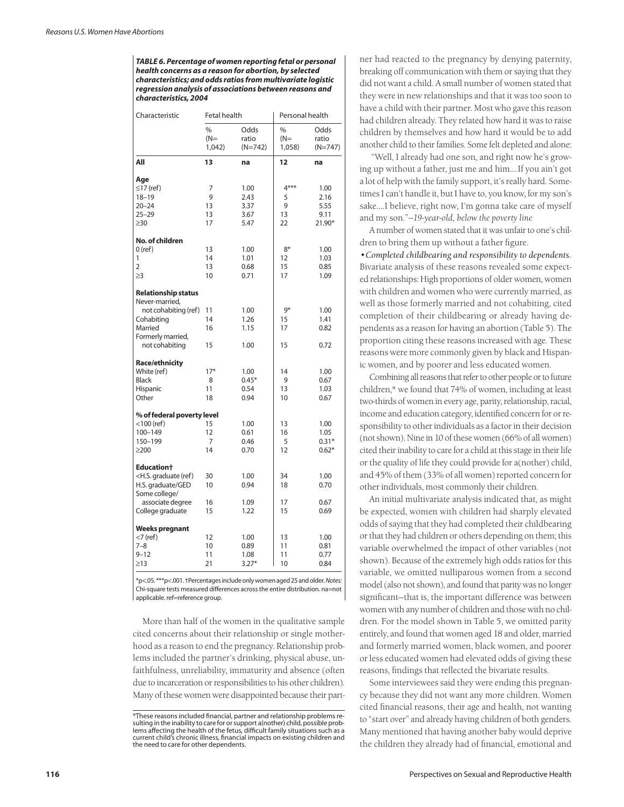*TABLE 6. Percentage of women reporting fetal or personal health concerns as a reason for abortion, by selected characteristics; and odds ratios from multivariate logistic regression analysis of associations between reasons and characteristics, 2004*

| Characteristic                                                                            | <b>Fetal health</b>  |                            | Personal health      |                            |  |
|-------------------------------------------------------------------------------------------|----------------------|----------------------------|----------------------|----------------------------|--|
|                                                                                           | %<br>$(N=$<br>1,042) | Odds<br>ratio<br>$(N=742)$ | %<br>$(N=$<br>1,058) | Odds<br>ratio<br>$(N=747)$ |  |
| All                                                                                       | 13                   | na                         | 12                   | na                         |  |
| Age                                                                                       |                      |                            |                      |                            |  |
| $\leq$ 17 (ref)                                                                           | 7                    | 1.00                       | $4***$               | 1.00                       |  |
| $18 - 19$                                                                                 | 9                    | 2.43                       | 5                    | 2.16                       |  |
| $20 - 24$                                                                                 | 13                   | 3.37                       | 9                    | 5.55                       |  |
| $25 - 29$                                                                                 | 13                   | 3.67                       | 13                   | 9.11                       |  |
| $\geq$ 30                                                                                 | 17                   | 5.47                       | 22                   | 21.90*                     |  |
| No. of children                                                                           |                      |                            |                      |                            |  |
| $0$ (ref)                                                                                 | 13                   | 1.00                       | $8*$                 | 1.00                       |  |
| 1                                                                                         | 14                   | 1.01                       | 12                   | 1.03                       |  |
| 2                                                                                         | 13                   | 0.68                       | 15                   | 0.85                       |  |
| $\geq$ 3                                                                                  | 10                   | 0.71                       | 17                   | 1.09                       |  |
| <b>Relationship status</b>                                                                |                      |                            |                      |                            |  |
| Never-married,                                                                            |                      |                            |                      |                            |  |
| not cohabiting (ref)                                                                      | 11                   | 1.00                       | $9*$                 | 1.00                       |  |
| Cohabiting                                                                                | 14                   | 1.26                       | 15                   | 1.41                       |  |
| Married                                                                                   | 16                   | 1.15                       | 17                   | 0.82                       |  |
| Formerly married,                                                                         |                      |                            |                      |                            |  |
| not cohabiting                                                                            | 15                   | 1.00                       | 15                   | 0.72                       |  |
| <b>Race/ethnicity</b>                                                                     |                      |                            |                      |                            |  |
| White (ref)                                                                               | $17*$                | 1.00                       | 14                   | 1.00                       |  |
| <b>Black</b>                                                                              | 8                    | $0.45*$                    | 9                    | 0.67                       |  |
| Hispanic                                                                                  | 11                   | 0.54                       | 13                   | 1.03                       |  |
| Other                                                                                     | 18                   | 0.94                       | 10                   | 0.67                       |  |
| % of federal poverty level                                                                |                      |                            |                      |                            |  |
| $<$ 100 (ref)                                                                             | 15                   | 1.00                       | 13                   | 1.00                       |  |
| 100-149                                                                                   | 12                   | 0.61                       | 16                   | 1.05                       |  |
| 150-199                                                                                   | 7                    | 0.46                       | 5                    | $0.31*$                    |  |
| $\geq$ 200                                                                                | 14                   | 0.70                       | 12                   | $0.62*$                    |  |
| <b>Educationt</b>                                                                         |                      |                            |                      |                            |  |
| <h.s. (ref)<="" graduate="" td=""><td>30</td><td>1.00</td><td>34</td><td>1.00</td></h.s.> | 30                   | 1.00                       | 34                   | 1.00                       |  |
| H.S. graduate/GED                                                                         | 10                   | 0.94                       | 18                   | 0.70                       |  |
| Some college/                                                                             |                      |                            |                      |                            |  |
| associate degree                                                                          | 16                   | 1.09                       | 17                   | 0.67                       |  |
| College graduate                                                                          | 15                   | 1.22                       | 15                   | 0.69                       |  |
| Weeks pregnant                                                                            |                      |                            |                      |                            |  |
| $<$ 7 (ref)                                                                               | 12                   | 1.00                       | 13                   | 1.00                       |  |
| $7 - 8$                                                                                   | 10                   | 0.89                       | 11                   | 0.81                       |  |
| $9 - 12$                                                                                  | 11                   | 1.08                       | 11                   | 0.77                       |  |
| $\geq$ 13                                                                                 | 21                   | $3.27*$                    | 10                   | 0.84                       |  |

\*p<.05. \*\*\*p<.001. †Percentages include only women aged 25 and older. *Notes:* Chi-square tests measured differences across the entire distribution. na=not applicable. ref=reference group.

More than half of the women in the qualitative sample cited concerns about their relationship or single motherhood as a reason to end the pregnancy. Relationship problems included the partner's drinking, physical abuse, unfaithfulness, unreliability, immaturity and absence (often due to incarceration or responsibilities to his other children). Many of these women were disappointed because their partner had reacted to the pregnancy by denying paternity, breaking off communication with them or saying that they did not want a child. A small number of women stated that they were in new relationships and that it was too soon to have a child with their partner. Most who gave this reason had children already. They related how hard it was to raise children by themselves and how hard it would be to add another child to their families. Some felt depleted and alone:

"Well, I already had one son, and right now he's growing up without a father, just me and him.…If you ain't got a lot of help with the family support, it's really hard. Sometimes I can't handle it, but I have to, you know, for my son's sake.…I believe, right now, I'm gonna take care of myself and my son."*—19-year-old, below the poverty line*

A number of women stated that it was unfair to one's children to bring them up without a father figure.

*•Completed childbearing and responsibility to dependents.* Bivariate analysis of these reasons revealed some expected relationships: High proportions of older women, women with children and women who were currently married, as well as those formerly married and not cohabiting, cited completion of their childbearing or already having dependents as a reason for having an abortion (Table 5). The proportion citing these reasons increased with age. These reasons were more commonly given by black and Hispanic women, and by poorer and less educated women.

Combining all reasons that refer to other people or to future children,\* we found that 74% of women, including at least two-thirds of women in every age, parity, relationship, racial, income and education category, identified concern for or responsibility to other individuals as a factor in their decision (not shown). Nine in 10 of these women (66% of all women) cited their inability to care for a child at this stage in their life or the quality of life they could provide for a(nother) child, and 45% of them (33% of all women) reported concern for other individuals, most commonly their children.

An initial multivariate analysis indicated that, as might be expected, women with children had sharply elevated odds of saying that they had completed their childbearing or that they had children or others depending on them; this variable overwhelmed the impact of other variables (not shown). Because of the extremely high odds ratios for this variable, we omitted nulliparous women from a second model (also not shown), and found that parity was no longer significant—that is, the important difference was between women with any number of children and those with no children. For the model shown in Table 5, we omitted parity entirely, and found that women aged 18 and older, married and formerly married women, black women, and poorer or less educated women had elevated odds of giving these reasons, findings that reflected the bivariate results.

Some interviewees said they were ending this pregnancy because they did not want any more children. Women cited financial reasons, their age and health, not wanting to "start over" and already having children of both genders. Many mentioned that having another baby would deprive the children they already had of financial, emotional and

<sup>\*</sup>These reasons included financial, partner and relationship problems resulting in the inability to care for or support a(nother) child, possible problems affecting the health of the fetus, difficult family situations such as a current child's chronic illness, financial impacts on existing children and the need to care for other dependents.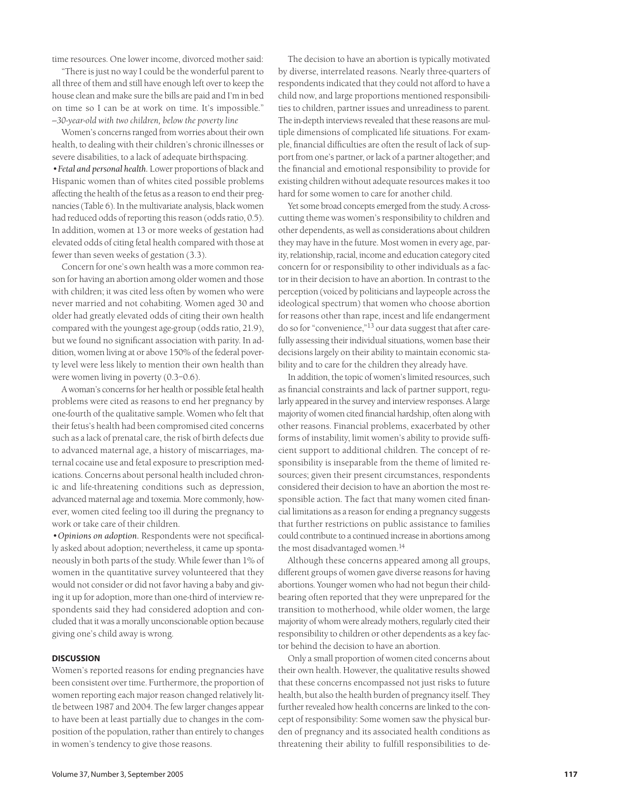time resources. One lower income, divorced mother said:

"There is just no way I could be the wonderful parent to all three of them and still have enough left over to keep the house clean and make sure the bills are paid and I'm in bed on time so I can be at work on time. It's impossible." *—30-year-old with two children, below the poverty line*

Women's concerns ranged from worries about their own health, to dealing with their children's chronic illnesses or severe disabilities, to a lack of adequate birthspacing.

*•Fetal and personal health.* Lower proportions of black and Hispanic women than of whites cited possible problems affecting the health of the fetus as a reason to end their pregnancies (Table 6). In the multivariate analysis, black women had reduced odds of reporting this reason (odds ratio, 0.5). In addition, women at 13 or more weeks of gestation had elevated odds of citing fetal health compared with those at fewer than seven weeks of gestation (3.3).

Concern for one's own health was a more common reason for having an abortion among older women and those with children; it was cited less often by women who were never married and not cohabiting. Women aged 30 and older had greatly elevated odds of citing their own health compared with the youngest age-group (odds ratio, 21.9), but we found no significant association with parity. In addition, women living at or above 150% of the federal poverty level were less likely to mention their own health than were women living in poverty (0.3–0.6).

A woman's concerns for her health or possible fetal health problems were cited as reasons to end her pregnancy by one-fourth of the qualitative sample. Women who felt that their fetus's health had been compromised cited concerns such as a lack of prenatal care, the risk of birth defects due to advanced maternal age, a history of miscarriages, maternal cocaine use and fetal exposure to prescription medications. Concerns about personal health included chronic and life-threatening conditions such as depression, advanced maternal age and toxemia. More commonly, however, women cited feeling too ill during the pregnancy to work or take care of their children.

*•Opinions on adoption.* Respondents were not specifically asked about adoption; nevertheless, it came up spontaneously in both parts of the study. While fewer than 1% of women in the quantitative survey volunteered that they would not consider or did not favor having a baby and giving it up for adoption, more than one-third of interview respondents said they had considered adoption and concluded that it was a morally unconscionable option because giving one's child away is wrong.

## **DISCUSSION**

Women's reported reasons for ending pregnancies have been consistent over time. Furthermore, the proportion of women reporting each major reason changed relatively little between 1987 and 2004. The few larger changes appear to have been at least partially due to changes in the composition of the population, rather than entirely to changes in women's tendency to give those reasons.

The decision to have an abortion is typically motivated by diverse, interrelated reasons. Nearly three-quarters of respondents indicated that they could not afford to have a child now, and large proportions mentioned responsibilities to children, partner issues and unreadiness to parent. The in-depth interviews revealed that these reasons are multiple dimensions of complicated life situations. For example, financial difficulties are often the result of lack of support from one's partner, or lack of a partner altogether; and the financial and emotional responsibility to provide for existing children without adequate resources makes it too hard for some women to care for another child.

Yet some broad concepts emerged from the study. A crosscutting theme was women's responsibility to children and other dependents, as well as considerations about children they may have in the future. Most women in every age, parity, relationship, racial, income and education category cited concern for or responsibility to other individuals as a factor in their decision to have an abortion. In contrast to the perception (voiced by politicians and laypeople across the ideological spectrum) that women who choose abortion for reasons other than rape, incest and life endangerment do so for "convenience,"13 our data suggest that after carefully assessing their individual situations, women base their decisions largely on their ability to maintain economic stability and to care for the children they already have.

In addition, the topic of women's limited resources, such as financial constraints and lack of partner support, regularly appeared in the survey and interview responses. A large majority of women cited financial hardship, often along with other reasons. Financial problems, exacerbated by other forms of instability, limit women's ability to provide sufficient support to additional children. The concept of responsibility is inseparable from the theme of limited resources; given their present circumstances, respondents considered their decision to have an abortion the most responsible action. The fact that many women cited financial limitations as a reason for ending a pregnancy suggests that further restrictions on public assistance to families could contribute to a continued increase in abortions among the most disadvantaged women.<sup>14</sup>

Although these concerns appeared among all groups, different groups of women gave diverse reasons for having abortions. Younger women who had not begun their childbearing often reported that they were unprepared for the transition to motherhood, while older women, the large majority of whom were already mothers, regularly cited their responsibility to children or other dependents as a key factor behind the decision to have an abortion.

Only a small proportion of women cited concerns about their own health. However, the qualitative results showed that these concerns encompassed not just risks to future health, but also the health burden of pregnancy itself. They further revealed how health concerns are linked to the concept of responsibility: Some women saw the physical burden of pregnancy and its associated health conditions as threatening their ability to fulfill responsibilities to de